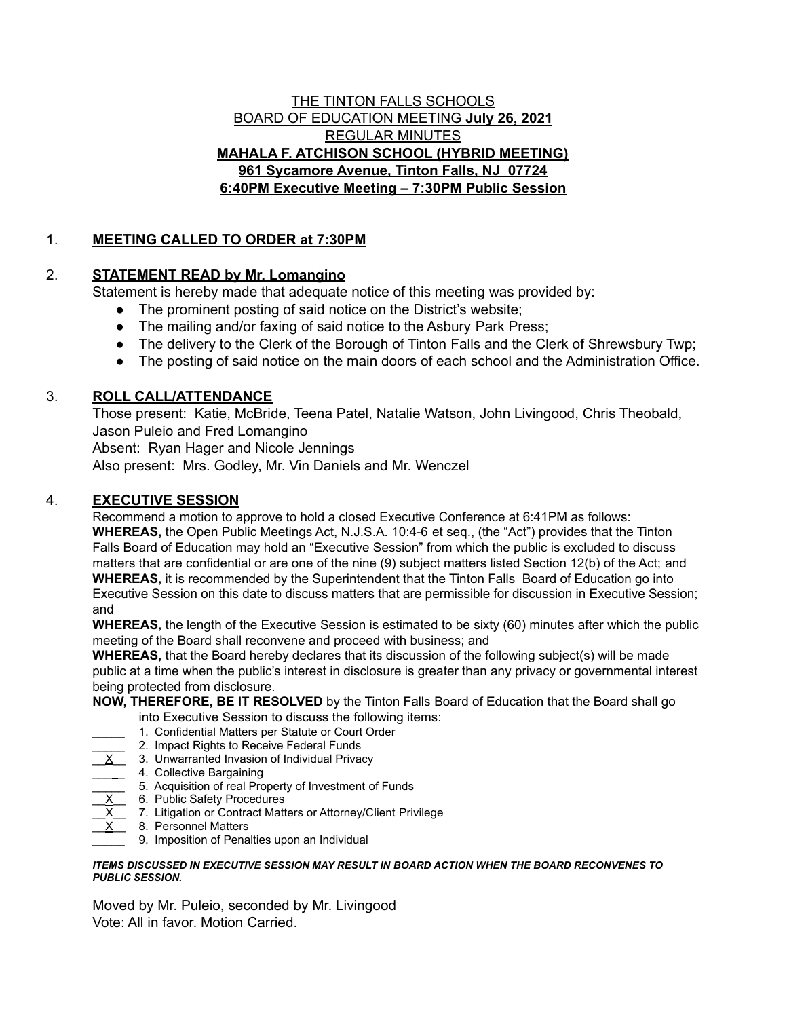#### THE TINTON FALLS SCHOOLS BOARD OF EDUCATION MEETING **July 26, 2021** REGULAR MINUTES **MAHALA F. ATCHISON SCHOOL (HYBRID MEETING) 961 Sycamore Avenue, Tinton Falls, NJ 07724 6:40PM Executive Meeting – 7:30PM Public Session**

## 1. **MEETING CALLED TO ORDER at 7:30PM**

### 2. **STATEMENT READ by Mr. Lomangino**

Statement is hereby made that adequate notice of this meeting was provided by:

- The prominent posting of said notice on the District's website;
- The mailing and/or faxing of said notice to the Asbury Park Press;
- The delivery to the Clerk of the Borough of Tinton Falls and the Clerk of Shrewsbury Twp;
- The posting of said notice on the main doors of each school and the Administration Office.

# 3. **ROLL CALL/ATTENDANCE**

Those present: Katie, McBride, Teena Patel, Natalie Watson, John Livingood, Chris Theobald, Jason Puleio and Fred Lomangino

Absent: Ryan Hager and Nicole Jennings

Also present: Mrs. Godley, Mr. Vin Daniels and Mr. Wenczel

## 4. **EXECUTIVE SESSION**

Recommend a motion to approve to hold a closed Executive Conference at 6:41PM as follows: **WHEREAS,** the Open Public Meetings Act, N.J.S.A. 10:4-6 et seq., (the "Act") provides that the Tinton Falls Board of Education may hold an "Executive Session" from which the public is excluded to discuss matters that are confidential or are one of the nine (9) subject matters listed Section 12(b) of the Act; and **WHEREAS,** it is recommended by the Superintendent that the Tinton Falls Board of Education go into Executive Session on this date to discuss matters that are permissible for discussion in Executive Session; and

**WHEREAS,** the length of the Executive Session is estimated to be sixty (60) minutes after which the public meeting of the Board shall reconvene and proceed with business; and

**WHEREAS,** that the Board hereby declares that its discussion of the following subject(s) will be made public at a time when the public's interest in disclosure is greater than any privacy or governmental interest being protected from disclosure.

# **NOW, THEREFORE, BE IT RESOLVED** by the Tinton Falls Board of Education that the Board shall go

- into Executive Session to discuss the following items:
- 1. Confidential Matters per Statute or Court Order
- 2. Impact Rights to Receive Federal Funds
- 3. Unwarranted Invasion of Individual Privacy
- 4. Collective Bargaining
- \_\_\_\_\_ 5. Acquisition of real Property of Investment of Funds
- $\underline{X}$  6. Public Safety Procedures
- $\underline{X}$  7. Litigation or Contract Matters or Attorney/Client Privilege
- $X$  8. Personnel Matters
	- 9. Imposition of Penalties upon an Individual

#### *ITEMS DISCUSSED IN EXECUTIVE SESSION MAY RESULT IN BOARD ACTION WHEN THE BOARD RECONVENES TO PUBLIC SESSION.*

Moved by Mr. Puleio, seconded by Mr. Livingood Vote: All in favor. Motion Carried.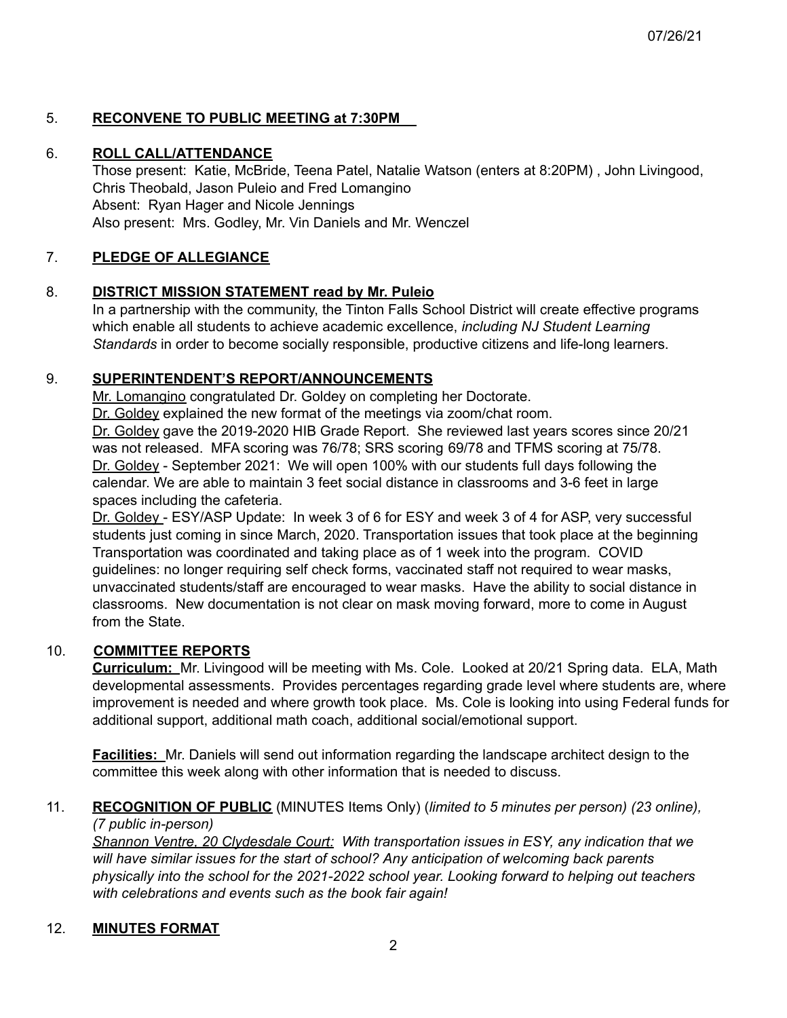## 5. **RECONVENE TO PUBLIC MEETING at 7:30PM**

#### 6. **ROLL CALL/ATTENDANCE**

Those present: Katie, McBride, Teena Patel, Natalie Watson (enters at 8:20PM) , John Livingood, Chris Theobald, Jason Puleio and Fred Lomangino Absent: Ryan Hager and Nicole Jennings Also present: Mrs. Godley, Mr. Vin Daniels and Mr. Wenczel

# 7. **PLEDGE OF ALLEGIANCE**

### 8. **DISTRICT MISSION STATEMENT read by Mr. Puleio**

In a partnership with the community, the Tinton Falls School District will create effective programs which enable all students to achieve academic excellence, *including NJ Student Learning Standards* in order to become socially responsible, productive citizens and life-long learners.

#### 9. **SUPERINTENDENT'S REPORT/ANNOUNCEMENTS**

Mr. Lomangino congratulated Dr. Goldey on completing her Doctorate.

Dr. Goldey explained the new format of the meetings via zoom/chat room.

Dr. Goldey gave the 2019-2020 HIB Grade Report. She reviewed last years scores since 20/21 was not released. MFA scoring was 76/78; SRS scoring 69/78 and TFMS scoring at 75/78. Dr. Goldey - September 2021: We will open 100% with our students full days following the calendar. We are able to maintain 3 feet social distance in classrooms and 3-6 feet in large spaces including the cafeteria.

Dr. Goldey - ESY/ASP Update: In week 3 of 6 for ESY and week 3 of 4 for ASP, very successful students just coming in since March, 2020. Transportation issues that took place at the beginning Transportation was coordinated and taking place as of 1 week into the program. COVID guidelines: no longer requiring self check forms, vaccinated staff not required to wear masks, unvaccinated students/staff are encouraged to wear masks. Have the ability to social distance in classrooms. New documentation is not clear on mask moving forward, more to come in August from the State.

### 10. **COMMITTEE REPORTS**

**Curriculum:** Mr. Livingood will be meeting with Ms. Cole. Looked at 20/21 Spring data. ELA, Math developmental assessments. Provides percentages regarding grade level where students are, where improvement is needed and where growth took place. Ms. Cole is looking into using Federal funds for additional support, additional math coach, additional social/emotional support.

**Facilities:** Mr. Daniels will send out information regarding the landscape architect design to the committee this week along with other information that is needed to discuss.

# 11. **RECOGNITION OF PUBLIC** (MINUTES Items Only) (*limited to 5 minutes per person) (23 online),*

*(7 public in-person)*

*Shannon Ventre, 20 Clydesdale Court: With transportation issues in ESY, any indication that we will have similar issues for the start of school? Any anticipation of welcoming back parents physically into the school for the 2021-2022 school year. Looking forward to helping out teachers with celebrations and events such as the book fair again!*

### 12. **MINUTES FORMAT**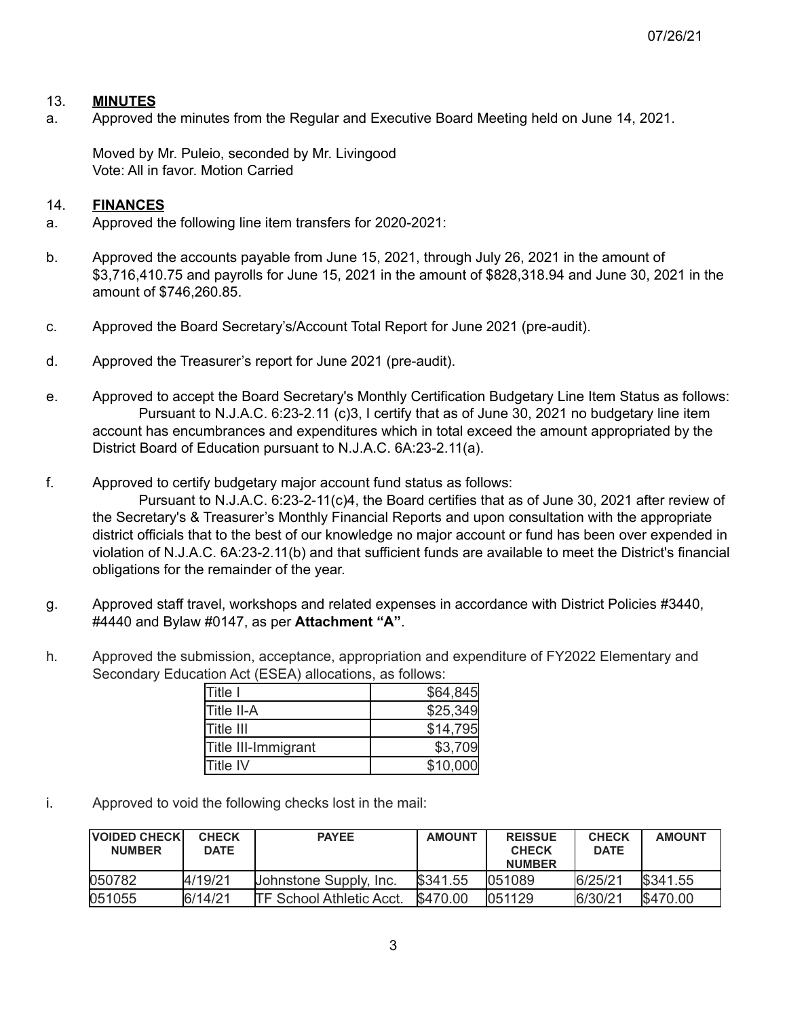07/26/21

#### 13. **MINUTES**

a. Approved the minutes from the Regular and Executive Board Meeting held on June 14, 2021.

Moved by Mr. Puleio, seconded by Mr. Livingood Vote: All in favor. Motion Carried

#### 14. **FINANCES**

- a. Approved the following line item transfers for 2020-2021:
- b. Approved the accounts payable from June 15, 2021, through July 26, 2021 in the amount of \$3,716,410.75 and payrolls for June 15, 2021 in the amount of \$828,318.94 and June 30, 2021 in the amount of \$746,260.85.
- c. Approved the Board Secretary's/Account Total Report for June 2021 (pre-audit).
- d. Approved the Treasurer's report for June 2021 (pre-audit).
- e. Approved to accept the Board Secretary's Monthly Certification Budgetary Line Item Status as follows: Pursuant to N.J.A.C. 6:23-2.11 (c)3, I certify that as of June 30, 2021 no budgetary line item account has encumbrances and expenditures which in total exceed the amount appropriated by the District Board of Education pursuant to N.J.A.C. 6A:23-2.11(a).
- f. Approved to certify budgetary major account fund status as follows:

Pursuant to N.J.A.C. 6:23-2-11(c)4, the Board certifies that as of June 30, 2021 after review of the Secretary's & Treasurer's Monthly Financial Reports and upon consultation with the appropriate district officials that to the best of our knowledge no major account or fund has been over expended in violation of N.J.A.C. 6A:23-2.11(b) and that sufficient funds are available to meet the District's financial obligations for the remainder of the year.

- g. Approved staff travel, workshops and related expenses in accordance with District Policies #3440, #4440 and Bylaw #0147, as per **Attachment "A"**.
- h*.* Approved the submission, acceptance, appropriation and expenditure of FY2022 Elementary and Secondary Education Act (ESEA) allocations, as follows:

| Title I             | \$64,845 |
|---------------------|----------|
| Title II-A          | \$25,349 |
| <b>Title III</b>    | \$14,795 |
| Title III-Immigrant | \$3,709  |
| <b>Title IV</b>     | \$10,000 |

i. Approved to void the following checks lost in the mail:

| <b>VOIDED CHECKI</b><br><b>NUMBER</b> | <b>CHECK</b><br><b>DATE</b> | <b>PAYEE</b>                     | <b>AMOUNT</b> | <b>REISSUE</b><br><b>CHECK</b><br><b>NUMBER</b> | <b>CHECK</b><br><b>DATE</b> | <b>AMOUNT</b>  |
|---------------------------------------|-----------------------------|----------------------------------|---------------|-------------------------------------------------|-----------------------------|----------------|
| 050782                                | 4/19/21                     | Johnstone Supply, Inc.           | \$341.55      | 1051089                                         | 6/25/21                     | <b>S341.55</b> |
| 051055                                | 6/14/21                     | <b>ITF School Athletic Acct.</b> | \$470.00      | 1051129                                         | 6/30/21                     | <b>S470.00</b> |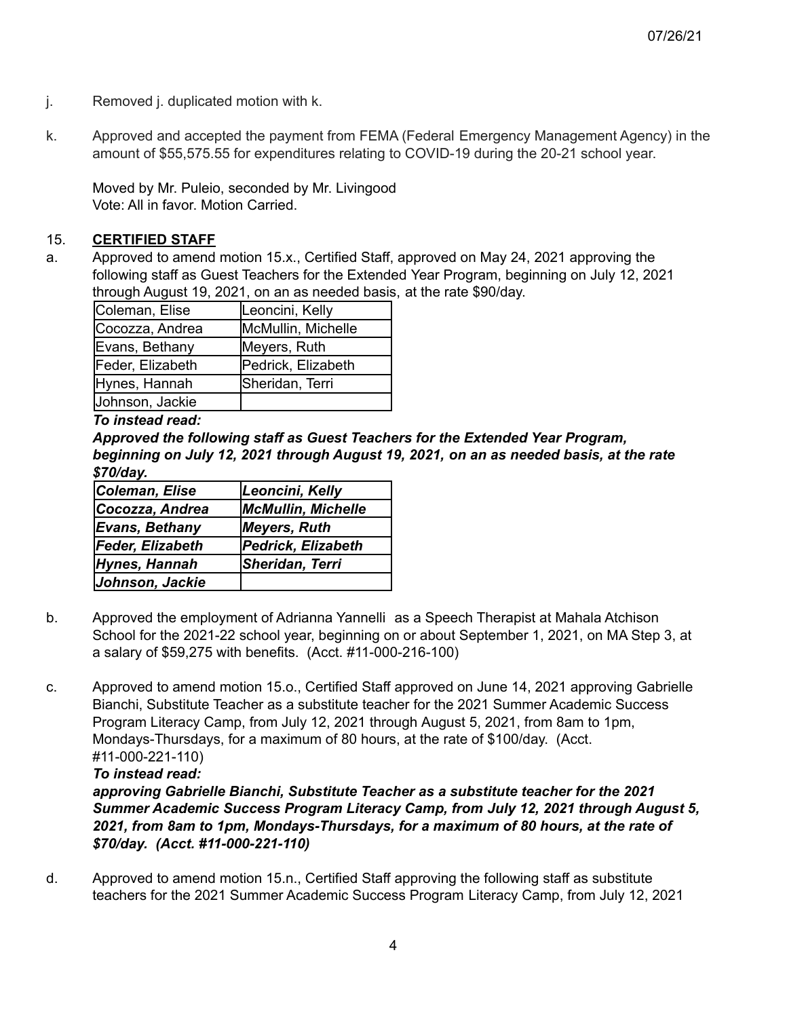- j. Removed j. duplicated motion with k.
- k. Approved and accepted the payment from FEMA (Federal Emergency Management Agency) in the amount of \$55,575.55 for expenditures relating to COVID-19 during the 20-21 school year.

Moved by Mr. Puleio, seconded by Mr. Livingood Vote: All in favor. Motion Carried.

## 15. **CERTIFIED STAFF**

a. Approved to amend motion 15.x., Certified Staff, approved on May 24, 2021 approving the following staff as Guest Teachers for the Extended Year Program, beginning on July 12, 2021 through August 19, 2021, on an as needed basis, at the rate \$90/day.

| Coleman, Elise   | Leoncini, Kelly    |
|------------------|--------------------|
| Cocozza, Andrea  | McMullin, Michelle |
| Evans, Bethany   | Meyers, Ruth       |
| Feder, Elizabeth | Pedrick, Elizabeth |
| Hynes, Hannah    | Sheridan, Terri    |
| Johnson, Jackie  |                    |

*To instead read:*

*Approved the following staff as Guest Teachers for the Extended Year Program, beginning on July 12, 2021 through August 19, 2021, on an as needed basis, at the rate \$70/day.*

| Coleman, Elise   | Leoncini, Kelly           |
|------------------|---------------------------|
| Cocozza, Andrea  | <b>McMullin, Michelle</b> |
| Evans, Bethany   | Meyers, Ruth              |
| Feder, Elizabeth | <b>Pedrick, Elizabeth</b> |
| Hynes, Hannah    | Sheridan, Terri           |
| Johnson, Jackie  |                           |

- b. Approved the employment of Adrianna Yannelli as a Speech Therapist at Mahala Atchison School for the 2021-22 school year, beginning on or about September 1, 2021, on MA Step 3, at a salary of \$59,275 with benefits. (Acct. #11-000-216-100)
- c. Approved to amend motion 15.o., Certified Staff approved on June 14, 2021 approving Gabrielle Bianchi, Substitute Teacher as a substitute teacher for the 2021 Summer Academic Success Program Literacy Camp, from July 12, 2021 through August 5, 2021, from 8am to 1pm, Mondays-Thursdays, for a maximum of 80 hours, at the rate of \$100/day. (Acct. #11-000-221-110)

#### *To instead read:*

*approving Gabrielle Bianchi, Substitute Teacher as a substitute teacher for the 2021 Summer Academic Success Program Literacy Camp, from July 12, 2021 through August 5, 2021, from 8am to 1pm, Mondays-Thursdays, for a maximum of 80 hours, at the rate of \$70/day. (Acct. #11-000-221-110)*

d. Approved to amend motion 15.n., Certified Staff approving the following staff as substitute teachers for the 2021 Summer Academic Success Program Literacy Camp, from July 12, 2021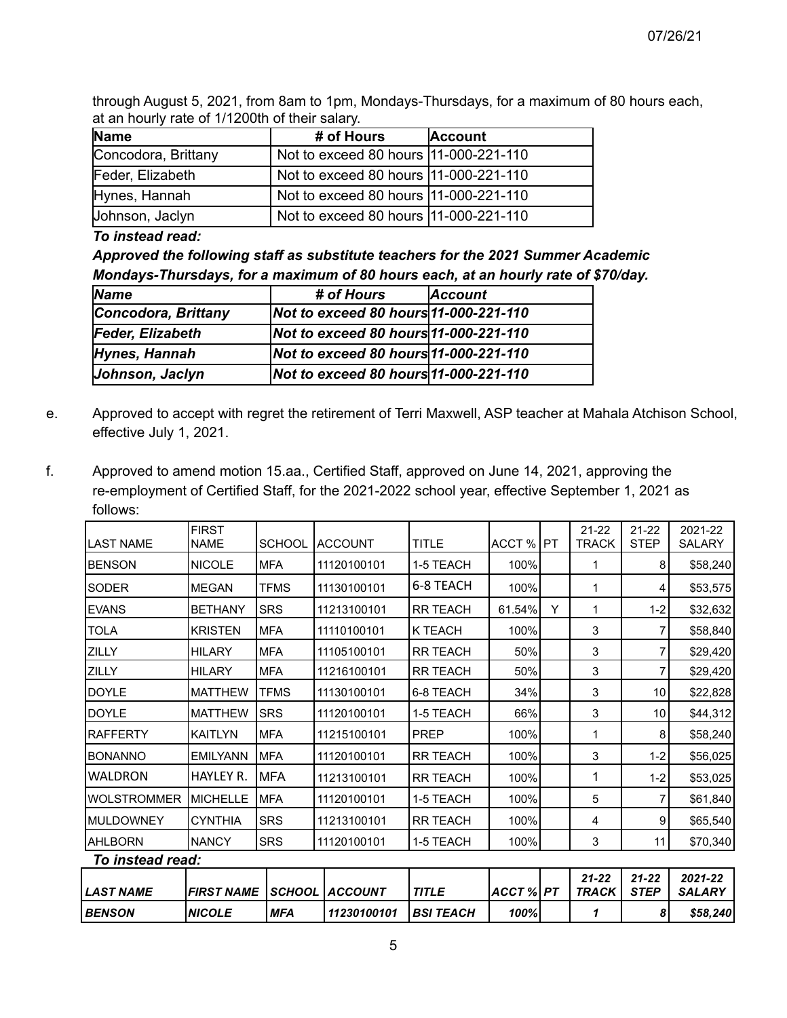through August 5, 2021, from 8am to 1pm, Mondays-Thursdays, for a maximum of 80 hours each, at an hourly rate of 1/1200th of their salary.

| <b>Name</b>         | # of Hours                             | <b>Account</b> |
|---------------------|----------------------------------------|----------------|
| Concodora, Brittany | Not to exceed 80 hours  11-000-221-110 |                |
| Feder, Elizabeth    | Not to exceed 80 hours  11-000-221-110 |                |
| Hynes, Hannah       | Not to exceed 80 hours 11-000-221-110  |                |
| Johnson, Jaclyn     | Not to exceed 80 hours  11-000-221-110 |                |

*To instead read:*

*Approved the following staff as substitute teachers for the 2021 Summer Academic Mondays-Thursdays, for a maximum of 80 hours each, at an hourly rate of \$70/day.*

| <b>Name</b>             | # of Hours                            | <b>Account</b> |
|-------------------------|---------------------------------------|----------------|
| Concodora, Brittany     | Not to exceed 80 hours 11-000-221-110 |                |
| <b>Feder, Elizabeth</b> | Not to exceed 80 hours 11-000-221-110 |                |
| Hynes, Hannah           | Not to exceed 80 hours 11-000-221-110 |                |
| Johnson, Jaclyn         | Not to exceed 80 hours 11-000-221-110 |                |

- e. Approved to accept with regret the retirement of Terri Maxwell, ASP teacher at Mahala Atchison School, effective July 1, 2021.
- f. Approved to amend motion 15.aa., Certified Staff, approved on June 14, 2021, approving the re-employment of Certified Staff, for the 2021-2022 school year, effective September 1, 2021 as follows:

| <b>BENSON</b>      | <b>NICOLE</b>               | <b>MFA</b>    | 11230100101    | <b>BSI TEACH</b> | 100%        |   | 1                         | 8                        | \$58,240                 |
|--------------------|-----------------------------|---------------|----------------|------------------|-------------|---|---------------------------|--------------------------|--------------------------|
| <b>LAST NAME</b>   | <b>FIRST NAME</b>           | <b>SCHOOL</b> | <b>ACCOUNT</b> | <b>TITLE</b>     | ACCT %   PT |   | $21 - 22$<br><b>TRACK</b> | $21 - 22$<br><b>STEP</b> | 2021-22<br><b>SALARY</b> |
| To instead read:   |                             |               |                |                  |             |   |                           |                          |                          |
| AHLBORN            | <b>NANCY</b>                | <b>SRS</b>    | 11120100101    | 1-5 TEACH        | 100%        |   | 3                         | 11                       | \$70,340                 |
| <b>MULDOWNEY</b>   | <b>CYNTHIA</b>              | <b>SRS</b>    | 11213100101    | <b>RR TEACH</b>  | 100%        |   | 4                         | 9                        | \$65,540                 |
| <b>WOLSTROMMER</b> | <b>MICHELLE</b>             | <b>MFA</b>    | 11120100101    | 1-5 TEACH        | 100%        |   | 5                         | 7                        | \$61,840                 |
| WALDRON            | HAYLEY R.                   | <b>MFA</b>    | 11213100101    | <b>RR TEACH</b>  | 100%        |   | 1                         | $1 - 2$                  | \$53,025                 |
| <b>IBONANNO</b>    | <b>EMILYANN</b>             | <b>MFA</b>    | 11120100101    | <b>RR TEACH</b>  | 100%        |   | 3                         | $1 - 2$                  | \$56,025                 |
| <b>RAFFERTY</b>    | <b>KAITLYN</b>              | <b>MFA</b>    | 11215100101    | <b>PREP</b>      | 100%        |   | 1                         | 8                        | \$58,240                 |
| DOYLE              | <b>MATTHEW</b>              | <b>SRS</b>    | 11120100101    | 1-5 TEACH        | 66%         |   | 3                         | 10                       | \$44,312                 |
| DOYLE              | <b>MATTHEW</b>              | <b>TFMS</b>   | 11130100101    | 6-8 TEACH        | 34%         |   | 3                         | 10                       | \$22,828                 |
| ZILLY              | <b>HILARY</b>               | <b>MFA</b>    | 11216100101    | <b>RR TEACH</b>  | 50%         |   | 3                         | 7                        | \$29,420                 |
| ZILLY              | <b>HILARY</b>               | <b>MFA</b>    | 11105100101    | <b>RR TEACH</b>  | 50%         |   | 3                         | 7                        | \$29,420                 |
| <b>TOLA</b>        | <b>KRISTEN</b>              | <b>MFA</b>    | 11110100101    | K TEACH          | 100%        |   | 3                         | 7                        | \$58,840                 |
| <b>EVANS</b>       | <b>BETHANY</b>              | <b>SRS</b>    | 11213100101    | <b>RR TEACH</b>  | 61.54%      | Y | 1                         | $1 - 2$                  | \$32,632                 |
| <b>SODER</b>       | <b>MEGAN</b>                | <b>TFMS</b>   | 11130100101    | 6-8 TEACH        | 100%        |   | 1                         | 4                        | \$53,575                 |
| <b>BENSON</b>      | <b>NICOLE</b>               | <b>MFA</b>    | 11120100101    | 1-5 TEACH        | 100%        |   | 1                         | 8                        | \$58,240                 |
| <b>LAST NAME</b>   | <b>FIRST</b><br><b>NAME</b> | <b>SCHOOL</b> | <b>ACCOUNT</b> | <b>TITLE</b>     | ACCT % PT   |   | $21 - 22$<br><b>TRACK</b> | $21 - 22$<br><b>STEP</b> | 2021-22<br>SALARY        |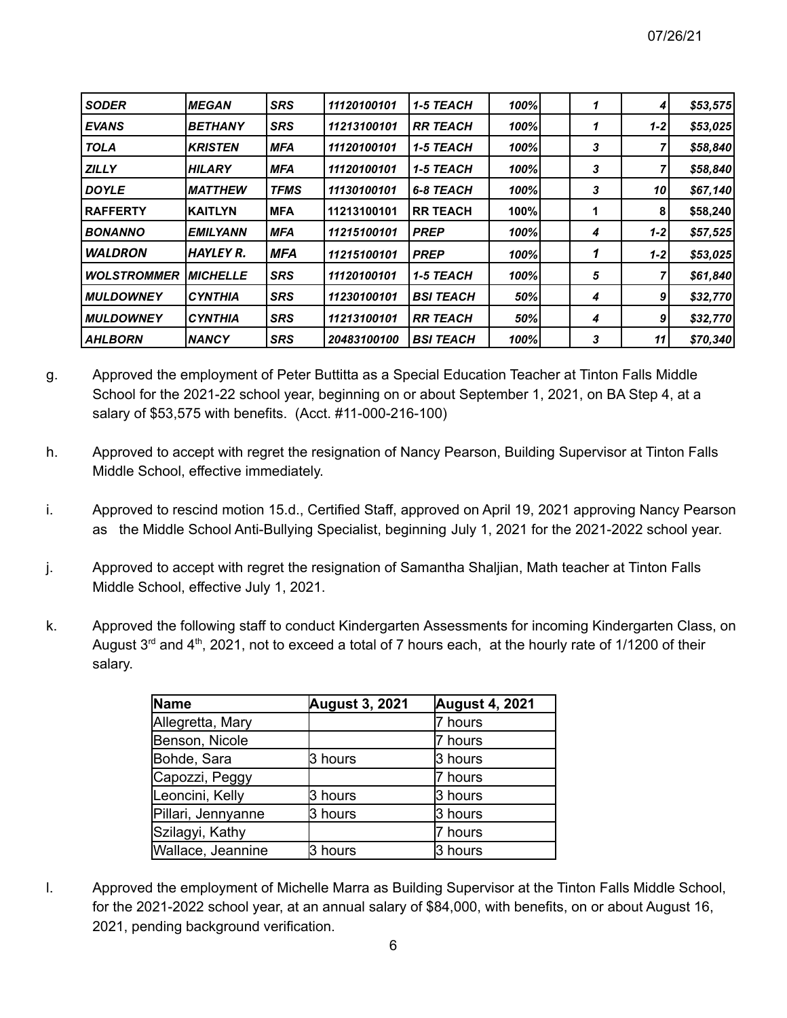| <b>SODER</b>       | <b>MEGAN</b>     | <b>SRS</b>  | 11120100101 | 1-5 TEACH        | 100% | 1 | 4                | \$53,575 |
|--------------------|------------------|-------------|-------------|------------------|------|---|------------------|----------|
| <b>EVANS</b>       | <b>BETHANY</b>   | <b>SRS</b>  | 11213100101 | <b>RR TEACH</b>  | 100% | 1 | $1 - 21$         | \$53,025 |
| <b>TOLA</b>        | <b>IKRISTEN</b>  | <b>MFA</b>  | 11120100101 | <b>1-5 TEACH</b> | 100% | 3 |                  | \$58,840 |
| <b>ZILLY</b>       | <b>HILARY</b>    | <b>MFA</b>  | 11120100101 | <b>1-5 TEACH</b> | 100% | 3 |                  | \$58,840 |
| <b>DOYLE</b>       | <b>IMATTHEW</b>  | <b>TFMS</b> | 11130100101 | 6-8 TEACH        | 100% | 3 | 10               | \$67,140 |
| <b>RAFFERTY</b>    | <b>IKAITLYN</b>  | <b>IMFA</b> | 11213100101 | <b>RR TEACH</b>  | 100% |   | 8                | \$58,240 |
| <b>BONANNO</b>     | <b>EMILYANN</b>  | <b>MFA</b>  | 11215100101 | <b>PREP</b>      | 100% | 4 | $1 - 2$          | \$57,525 |
| <b>WALDRON</b>     | <b>HAYLEY R.</b> | <b>MFA</b>  | 11215100101 | <b>PREP</b>      | 100% | 1 | $1 - 21$         | \$53,025 |
| <b>WOLSTROMMER</b> | <b>MICHELLE</b>  | <b>SRS</b>  | 11120100101 | <b>1-5 TEACH</b> | 100% | 5 |                  | \$61,840 |
| <b>MULDOWNEY</b>   | <b>ICYNTHIA</b>  | <b>SRS</b>  | 11230100101 | <b>BSI TEACH</b> | 50%  | 4 | 9                | \$32,770 |
| <b>MULDOWNEY</b>   | <b>ICYNTHIA</b>  | <b>SRS</b>  | 11213100101 | <b>RR TEACH</b>  | 50%  | 4 | $\boldsymbol{9}$ | \$32,770 |
| <b>AHLBORN</b>     | <b>INANCY</b>    | <b>SRS</b>  | 20483100100 | <b>BSI TEACH</b> | 100% | 3 | 11               | \$70,340 |

- g. Approved the employment of Peter Buttitta as a Special Education Teacher at Tinton Falls Middle School for the 2021-22 school year, beginning on or about September 1, 2021, on BA Step 4, at a salary of \$53,575 with benefits. (Acct. #11-000-216-100)
- h. Approved to accept with regret the resignation of Nancy Pearson, Building Supervisor at Tinton Falls Middle School, effective immediately.
- i. Approved to rescind motion 15.d., Certified Staff, approved on April 19, 2021 approving Nancy Pearson as the Middle School Anti-Bullying Specialist, beginning July 1, 2021 for the 2021-2022 school year.
- j. Approved to accept with regret the resignation of Samantha Shaljian, Math teacher at Tinton Falls Middle School, effective July 1, 2021.
- k. Approved the following staff to conduct Kindergarten Assessments for incoming Kindergarten Class, on August 3<sup>rd</sup> and 4<sup>th</sup>, 2021, not to exceed a total of 7 hours each, at the hourly rate of 1/1200 of their salary.

| Name               | <b>August 3, 2021</b> | <b>August 4, 2021</b> |
|--------------------|-----------------------|-----------------------|
| Allegretta, Mary   |                       | 7 hours               |
| Benson, Nicole     |                       | 7 hours               |
| Bohde, Sara        | 3 hours               | 3 hours               |
| Capozzi, Peggy     |                       | 7 hours               |
| Leoncini, Kelly    | 3 hours               | 3 hours               |
| Pillari, Jennyanne | 3 hours               | 3 hours               |
| Szilagyi, Kathy    |                       | 7 hours               |
| Wallace, Jeannine  | 3 hours               | 3 hours               |

l. Approved the employment of Michelle Marra as Building Supervisor at the Tinton Falls Middle School, for the 2021-2022 school year, at an annual salary of \$84,000, with benefits, on or about August 16, 2021, pending background verification.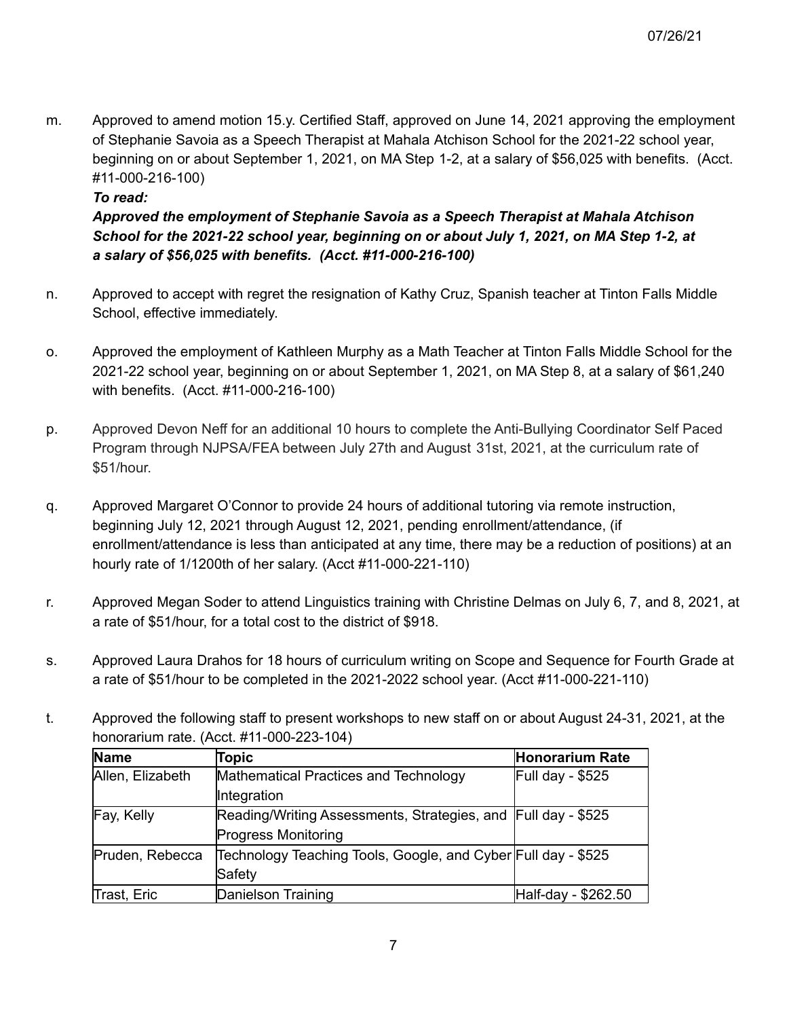m. Approved to amend motion 15.y. Certified Staff, approved on June 14, 2021 approving the employment of Stephanie Savoia as a Speech Therapist at Mahala Atchison School for the 2021-22 school year, beginning on or about September 1, 2021, on MA Step 1-2, at a salary of \$56,025 with benefits. (Acct. #11-000-216-100)

### *To read:*

## *Approved the employment of Stephanie Savoia as a Speech Therapist at Mahala Atchison School for the 2021-22 school year, beginning on or about July 1, 2021, on MA Step 1-2, at a salary of \$56,025 with benefits. (Acct. #11-000-216-100)*

- n. Approved to accept with regret the resignation of Kathy Cruz, Spanish teacher at Tinton Falls Middle School, effective immediately.
- o. Approved the employment of Kathleen Murphy as a Math Teacher at Tinton Falls Middle School for the 2021-22 school year, beginning on or about September 1, 2021, on MA Step 8, at a salary of \$61,240 with benefits. (Acct. #11-000-216-100)
- p. Approved Devon Neff for an additional 10 hours to complete the Anti-Bullying Coordinator Self Paced Program through NJPSA/FEA between July 27th and August 31st, 2021, at the curriculum rate of \$51/hour.
- q. Approved Margaret O'Connor to provide 24 hours of additional tutoring via remote instruction, beginning July 12, 2021 through August 12, 2021, pending enrollment/attendance, (if enrollment/attendance is less than anticipated at any time, there may be a reduction of positions) at an hourly rate of 1/1200th of her salary. (Acct #11-000-221-110)
- r. Approved Megan Soder to attend Linguistics training with Christine Delmas on July 6, 7, and 8, 2021, at a rate of \$51/hour, for a total cost to the district of \$918.
- s. Approved Laura Drahos for 18 hours of curriculum writing on Scope and Sequence for Fourth Grade at a rate of \$51/hour to be completed in the 2021-2022 school year. (Acct #11-000-221-110)
- t. Approved the following staff to present workshops to new staff on or about August 24-31, 2021, at the honorarium rate. (Acct. #11-000-223-104)

| Name             | Topic                                                         | <b>Honorarium Rate</b>  |
|------------------|---------------------------------------------------------------|-------------------------|
| Allen, Elizabeth | Mathematical Practices and Technology                         | <b>Full day - \$525</b> |
|                  | Integration                                                   |                         |
| Fay, Kelly       | Reading/Writing Assessments, Strategies, and Full day - \$525 |                         |
|                  | <b>Progress Monitoring</b>                                    |                         |
| Pruden, Rebecca  | Technology Teaching Tools, Google, and Cyber Full day - \$525 |                         |
|                  | Safety                                                        |                         |
| Trast, Eric      | Danielson Training                                            | Half-day - \$262.50     |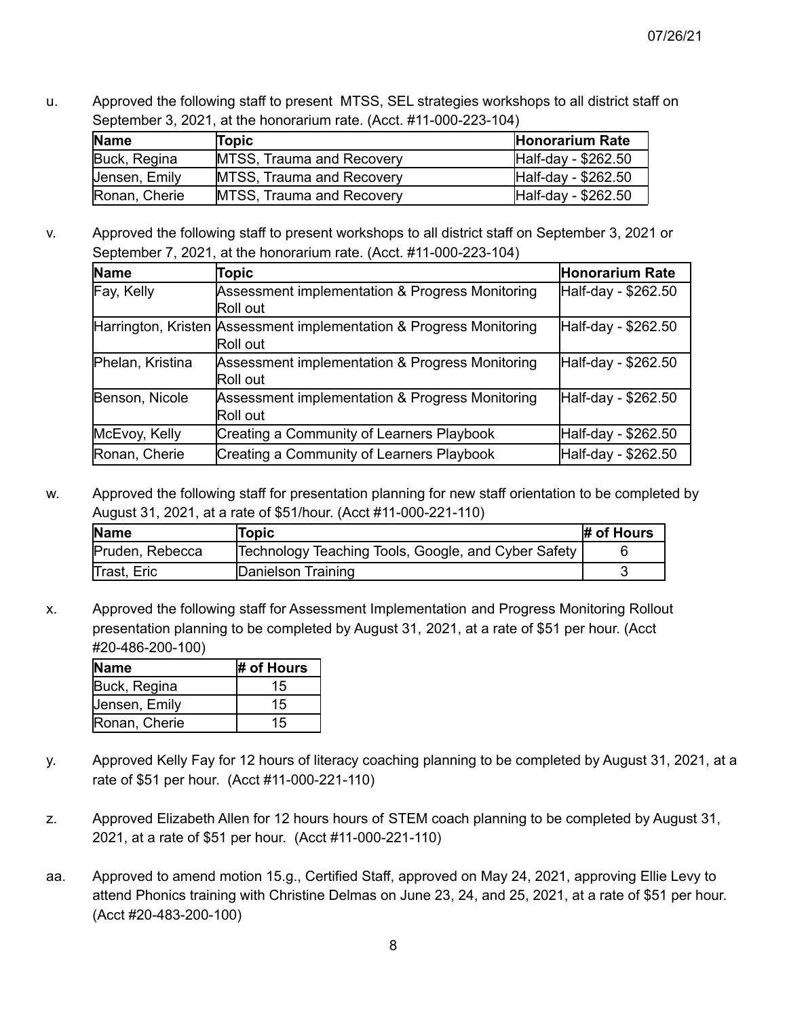u. Approved the following staff to present MTSS, SEL strategies workshops to all district staff on September 3, 2021, at the honorarium rate. (Acct. #11-000-223-104)

| <b>Name</b>   | Topic                            | <b>Honorarium Rate</b> |
|---------------|----------------------------------|------------------------|
| Buck, Regina  | <b>MTSS, Trauma and Recovery</b> | Half-day - \$262.50    |
| Jensen, Emily | <b>MTSS, Trauma and Recovery</b> | Half-day - \$262.50    |
| Ronan, Cherie | <b>MTSS, Trauma and Recovery</b> | Half-day - \$262.50    |

v. Approved the following staff to present workshops to all district staff on September 3, 2021 or September 7, 2021, at the honorarium rate. (Acct. #11-000-223-104)

| <b>Name</b>      | Topic                                                                           | Honorarium Rate     |
|------------------|---------------------------------------------------------------------------------|---------------------|
| Fay, Kelly       | Assessment implementation & Progress Monitoring<br>Roll out                     | Half-day - \$262.50 |
|                  | Harrington, Kristen Assessment implementation & Progress Monitoring<br>Roll out | Half-day - \$262.50 |
| Phelan, Kristina | Assessment implementation & Progress Monitoring<br>Roll out                     | Half-day - \$262.50 |
| Benson, Nicole   | Assessment implementation & Progress Monitoring<br>Roll out                     | Half-day - \$262.50 |
| McEvoy, Kelly    | Creating a Community of Learners Playbook                                       | Half-day - \$262.50 |
| Ronan, Cherie    | Creating a Community of Learners Playbook                                       | Half-day - \$262.50 |

w. Approved the following staff for presentation planning for new staff orientation to be completed by August 31, 2021, at a rate of \$51/hour. (Acct #11-000-221-110)

| <b>Name</b>     | Topic                                               | # of Hours |
|-----------------|-----------------------------------------------------|------------|
| Pruden, Rebecca | Technology Teaching Tools, Google, and Cyber Safety |            |
| Trast, Eric     | Danielson Training                                  |            |

x. Approved the following staff for Assessment Implementation and Progress Monitoring Rollout presentation planning to be completed by August 31, 2021, at a rate of \$51 per hour. (Acct #20-486-200-100)

| Name          | # of Hours |
|---------------|------------|
| Buck, Regina  | 15         |
| Jensen, Emily | 15         |
| Ronan, Cherie | 15         |

- y. Approved Kelly Fay for 12 hours of literacy coaching planning to be completed by August 31, 2021, at a rate of \$51 per hour. (Acct #11-000-221-110)
- z. Approved Elizabeth Allen for 12 hours hours of STEM coach planning to be completed by August 31, 2021, at a rate of \$51 per hour. (Acct #11-000-221-110)
- aa. Approved to amend motion 15.g., Certified Staff, approved on May 24, 2021, approving Ellie Levy to attend Phonics training with Christine Delmas on June 23, 24, and 25, 2021, at a rate of \$51 per hour. (Acct #20-483-200-100)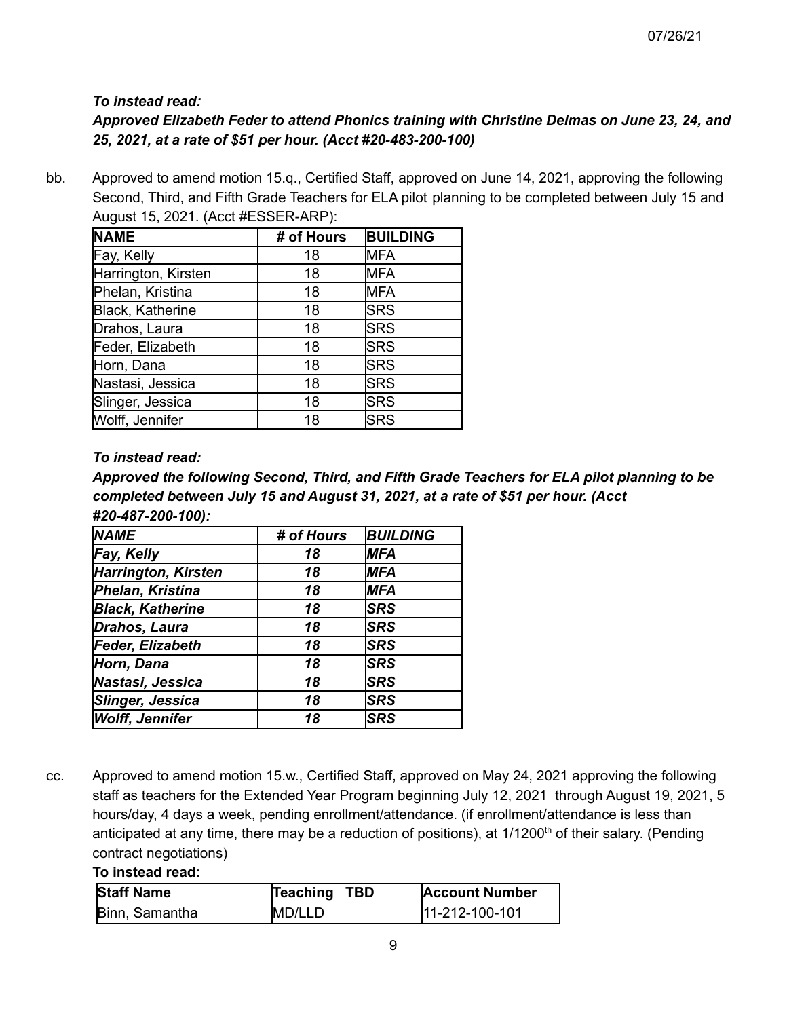## *To instead read:*

# *Approved Elizabeth Feder to attend Phonics training with Christine Delmas on June 23, 24, and 25, 2021, at a rate of \$51 per hour. (Acct #20-483-200-100)*

bb. Approved to amend motion 15.q., Certified Staff, approved on June 14, 2021, approving the following Second, Third, and Fifth Grade Teachers for ELA pilot planning to be completed between July 15 and August 15, 2021. (Acct #ESSER-ARP):

| <b>NAME</b>         | # of Hours | <b>BUILDING</b> |
|---------------------|------------|-----------------|
| Fay, Kelly          | 18         | <b>MFA</b>      |
| Harrington, Kirsten | 18         | <b>MFA</b>      |
| Phelan, Kristina    | 18         | <b>MFA</b>      |
| Black, Katherine    | 18         | <b>SRS</b>      |
| Drahos, Laura       | 18         | <b>SRS</b>      |
| Feder, Elizabeth    | 18         | <b>SRS</b>      |
| Horn, Dana          | 18         | <b>SRS</b>      |
| Nastasi, Jessica    | 18         | <b>SRS</b>      |
| Slinger, Jessica    | 18         | <b>SRS</b>      |
| Wolff, Jennifer     | 18         | <b>SRS</b>      |

### *To instead read:*

*Approved the following Second, Third, and Fifth Grade Teachers for ELA pilot planning to be completed between July 15 and August 31, 2021, at a rate of \$51 per hour. (Acct #20-487-200-100):*

| <b>NAME</b>             | # of Hours | <b>BUILDING</b> |
|-------------------------|------------|-----------------|
| Fay, Kelly              | 18         | <b>MFA</b>      |
| Harrington, Kirsten     | 18         | <b>MFA</b>      |
| Phelan, Kristina        | 18         | <b>MFA</b>      |
| <b>Black, Katherine</b> | 18         | <b>SRS</b>      |
| Drahos, Laura           | 18         | <b>SRS</b>      |
| Feder, Elizabeth        | 18         | <b>SRS</b>      |
| Horn, Dana              | 18         | <b>SRS</b>      |
| Nastasi, Jessica        | 18         | <b>SRS</b>      |
| Slinger, Jessica        | 18         | <b>SRS</b>      |
| <b>Wolff, Jennifer</b>  | 18         | <b>SRS</b>      |

cc. Approved to amend motion 15.w., Certified Staff, approved on May 24, 2021 approving the following staff as teachers for the Extended Year Program beginning July 12, 2021 through August 19, 2021, 5 hours/day, 4 days a week, pending enrollment/attendance. (if enrollment/attendance is less than anticipated at any time, there may be a reduction of positions), at 1/1200<sup>th</sup> of their salary. (Pending contract negotiations)

#### **To instead read:**

| <b>Staff Name</b> | Teaching TBD | <b>Account Number</b> |
|-------------------|--------------|-----------------------|
| Binn, Samantha    | IMD/LLD      | 111-212-100-101       |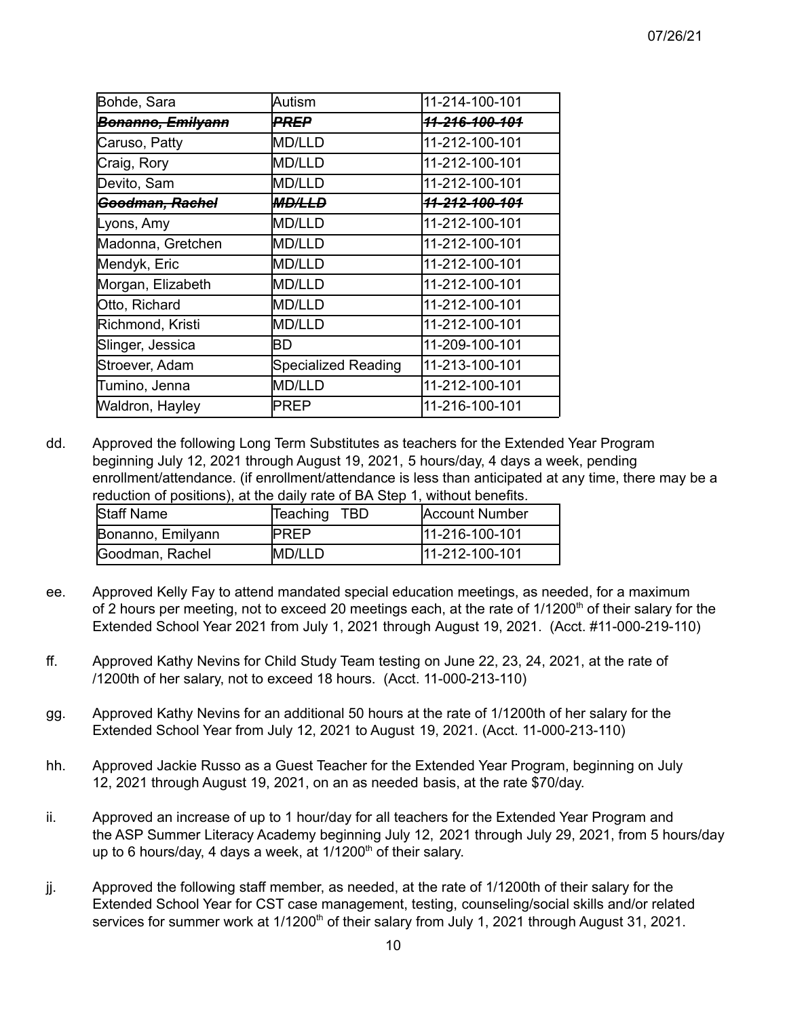| Bohde, Sara                  | Autism              | 11-214-100-101            |
|------------------------------|---------------------|---------------------------|
| <del>Bonanno, Emilyann</del> | PREP                | <del>11-216-100-101</del> |
| Caruso, Patty                | <b>MD/LLD</b>       | 11-212-100-101            |
| Craig, Rory                  | <b>MD/LLD</b>       | 11-212-100-101            |
| Devito, Sam                  | <b>MD/LLD</b>       | 11-212-100-101            |
| <del> Goodman, Rachel</del>  | <b>MD/LLD</b>       | <del>11-212-100-101</del> |
| Lyons, Amy                   | <b>MD/LLD</b>       | 11-212-100-101            |
| Madonna, Gretchen            | <b>MD/LLD</b>       | 11-212-100-101            |
| Mendyk, Eric                 | <b>MD/LLD</b>       | 11-212-100-101            |
| Morgan, Elizabeth            | <b>MD/LLD</b>       | 11-212-100-101            |
| Otto, Richard                | <b>MD/LLD</b>       | 11-212-100-101            |
| Richmond, Kristi             | <b>MD/LLD</b>       | 11-212-100-101            |
| Slinger, Jessica             | BD                  | 11-209-100-101            |
| Stroever, Adam               | Specialized Reading | 11-213-100-101            |
| Tumino, Jenna                | <b>MD/LLD</b>       | 11-212-100-101            |
| Waldron, Hayley              | PREP                | 11-216-100-101            |

dd. Approved the following Long Term Substitutes as teachers for the Extended Year Program beginning July 12, 2021 through August 19, 2021, 5 hours/day, 4 days a week, pending enrollment/attendance. (if enrollment/attendance is less than anticipated at any time, there may be a reduction of positions), at the daily rate of BA Step 1, without benefits.

| <b>Staff Name</b> | Teaching TBD | Account Number |
|-------------------|--------------|----------------|
| Bonanno, Emilyann | <b>IPREP</b> | 11-216-100-101 |
| Goodman, Rachel   | IMD/LLD      | 11-212-100-101 |

- ee. Approved Kelly Fay to attend mandated special education meetings, as needed, for a maximum of 2 hours per meeting, not to exceed 20 meetings each, at the rate of 1/1200<sup>th</sup> of their salary for the Extended School Year 2021 from July 1, 2021 through August 19, 2021. (Acct. #11-000-219-110)
- ff. Approved Kathy Nevins for Child Study Team testing on June 22, 23, 24, 2021, at the rate of /1200th of her salary, not to exceed 18 hours. (Acct. 11-000-213-110)
- gg. Approved Kathy Nevins for an additional 50 hours at the rate of 1/1200th of her salary for the Extended School Year from July 12, 2021 to August 19, 2021. (Acct. 11-000-213-110)
- hh. Approved Jackie Russo as a Guest Teacher for the Extended Year Program, beginning on July 12, 2021 through August 19, 2021, on an as needed basis, at the rate \$70/day.
- ii. Approved an increase of up to 1 hour/day for all teachers for the Extended Year Program and the ASP Summer Literacy Academy beginning July 12, 2021 through July 29, 2021, from 5 hours/day up to 6 hours/day, 4 days a week, at 1/1200<sup>th</sup> of their salary.
- jj. Approved the following staff member, as needed, at the rate of 1/1200th of their salary for the Extended School Year for CST case management, testing, counseling/social skills and/or related services for summer work at 1/1200<sup>th</sup> of their salary from July 1, 2021 through August 31, 2021.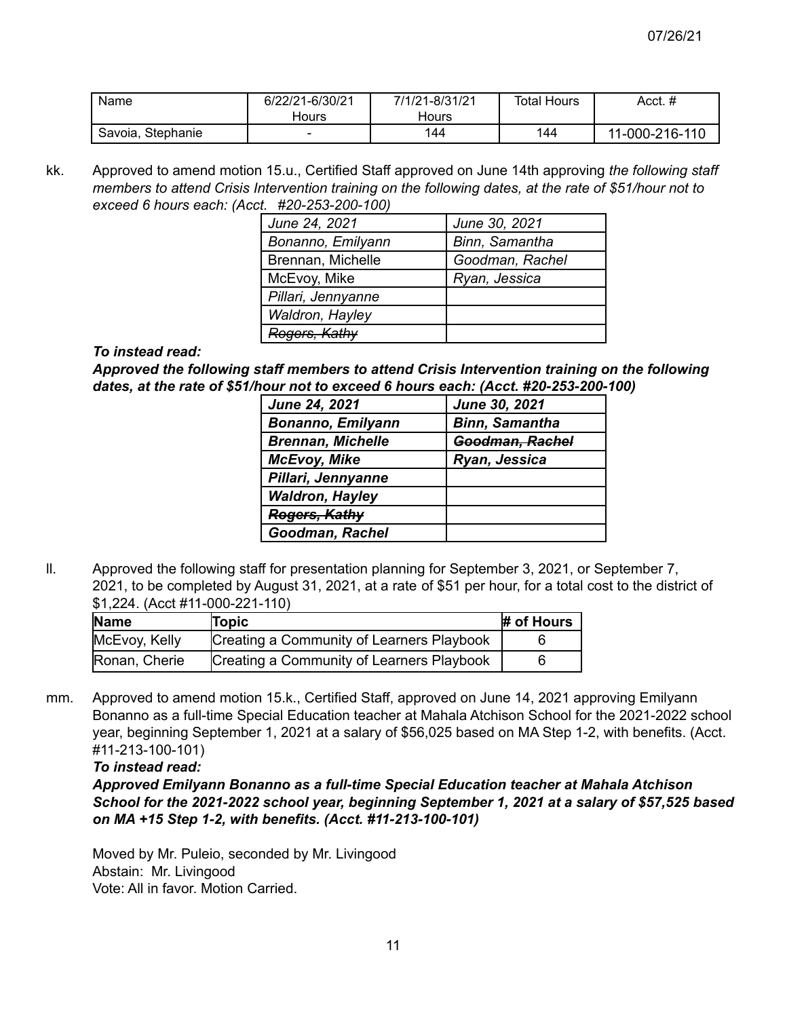| Name              | 6/22/21-6/30/21 | 7/1/21-8/31/21 | Total Hours | Acct. #        |
|-------------------|-----------------|----------------|-------------|----------------|
|                   | Hours           | Hours          |             |                |
| Savoia, Stephanie |                 | 144            | 144         | 11-000-216-110 |

kk. Approved to amend motion 15.u., Certified Staff approved on June 14th approving *the following staff members to attend Crisis Intervention training on the following dates, at the rate of \$51/hour not to exceed 6 hours each: (Acct. #20-253-200-100)*

| June 24, 2021            | June 30, 2021   |
|--------------------------|-----------------|
| Bonanno, Emilyann        | Binn, Samantha  |
| Brennan, Michelle        | Goodman, Rachel |
| McEvoy, Mike             | Ryan, Jessica   |
| Pillari, Jennyanne       |                 |
| Waldron, Hayley          |                 |
| <del>Rogers, Kathy</del> |                 |

#### *To instead read:*

*Approved the following staff members to attend Crisis Intervention training on the following dates, at the rate of \$51/hour not to exceed 6 hours each: (Acct. #20-253-200-100)*

| <b>June 24, 2021</b>     | June 30, 2021         |
|--------------------------|-----------------------|
| <b>Bonanno, Emilyann</b> | <b>Binn, Samantha</b> |
| <b>Brennan, Michelle</b> | Goodman, Rachel       |
| <b>McEvoy, Mike</b>      | Ryan, Jessica         |
| Pillari, Jennyanne       |                       |
| <b>Waldron, Hayley</b>   |                       |
| Rogers, Kathy            |                       |
| Goodman, Rachel          |                       |

ll. Approved the following staff for presentation planning for September 3, 2021, or September 7, 2021, to be completed by August 31, 2021, at a rate of \$51 per hour, for a total cost to the district of \$1,224. (Acct #11-000-221-110)

| <b>Name</b>   | Topic                                     | # of Hours |
|---------------|-------------------------------------------|------------|
| McEvoy, Kelly | Creating a Community of Learners Playbook |            |
| Ronan, Cherie | Creating a Community of Learners Playbook |            |

mm. Approved to amend motion 15.k., Certified Staff, approved on June 14, 2021 approving Emilyann Bonanno as a full-time Special Education teacher at Mahala Atchison School for the 2021-2022 school year, beginning September 1, 2021 at a salary of \$56,025 based on MA Step 1-2, with benefits. (Acct. #11-213-100-101)

*To instead read:*

*Approved Emilyann Bonanno as a full-time Special Education teacher at Mahala Atchison School for the 2021-2022 school year, beginning September 1, 2021 at a salary of \$57,525 based on MA +15 Step 1-2, with benefits. (Acct. #11-213-100-101)*

Moved by Mr. Puleio, seconded by Mr. Livingood Abstain: Mr. Livingood Vote: All in favor. Motion Carried.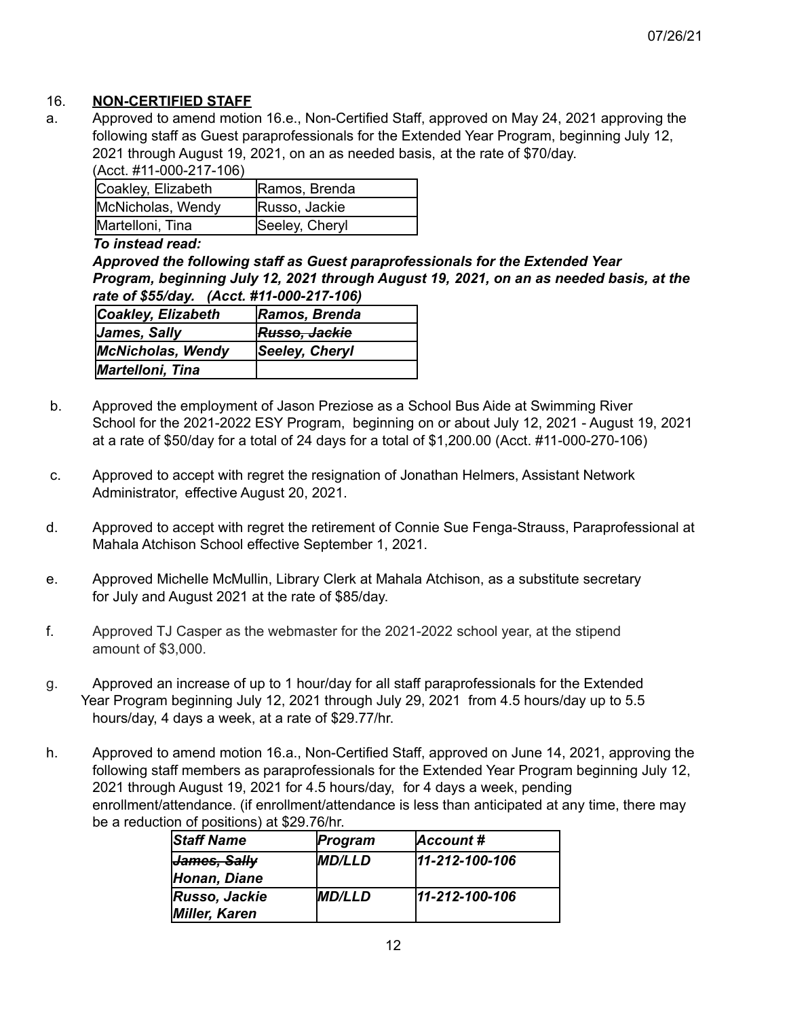#### 16. **NON-CERTIFIED STAFF**

a. Approved to amend motion 16.e., Non-Certified Staff, approved on May 24, 2021 approving the following staff as Guest paraprofessionals for the Extended Year Program, beginning July 12, 2021 through August 19, 2021, on an as needed basis, at the rate of \$70/day. (Acct. #11-000-217-106)

| Coakley, Elizabeth | Ramos, Brenda  |
|--------------------|----------------|
| McNicholas, Wendy  | Russo, Jackie  |
| Martelloni, Tina   | Seeley, Cheryl |

#### *To instead read:*

*Approved the following staff as Guest paraprofessionals for the Extended Year Program, beginning July 12, 2021 through August 19, 2021, on an as needed basis, at the rate of \$55/day. (Acct. #11-000-217-106)*

| Coakley, Elizabeth       | Ramos, Brenda  |
|--------------------------|----------------|
| James, Sally             | Russo, Jackie  |
| <b>McNicholas, Wendy</b> | Seeley, Cheryl |
| Martelloni, Tina         |                |

- b. Approved the employment of Jason Preziose as a School Bus Aide at Swimming River School for the 2021-2022 ESY Program, beginning on or about July 12, 2021 - August 19, 2021 at a rate of \$50/day for a total of 24 days for a total of \$1,200.00 (Acct. #11-000-270-106)
- c. Approved to accept with regret the resignation of Jonathan Helmers, Assistant Network Administrator, effective August 20, 2021.
- d. Approved to accept with regret the retirement of Connie Sue Fenga-Strauss, Paraprofessional at Mahala Atchison School effective September 1, 2021.
- e. Approved Michelle McMullin, Library Clerk at Mahala Atchison, as a substitute secretary for July and August 2021 at the rate of \$85/day.
- f. Approved TJ Casper as the webmaster for the 2021-2022 school year, at the stipend amount of \$3,000.
- g. Approved an increase of up to 1 hour/day for all staff paraprofessionals for the Extended Year Program beginning July 12, 2021 through July 29, 2021 from 4.5 hours/day up to 5.5 hours/day, 4 days a week, at a rate of \$29.77/hr.
- h. Approved to amend motion 16.a., Non-Certified Staff, approved on June 14, 2021, approving the following staff members as paraprofessionals for the Extended Year Program beginning July 12, 2021 through August 19, 2021 for 4.5 hours/day, for 4 days a week, pending enrollment/attendance. (if enrollment/attendance is less than anticipated at any time, there may be a reduction of positions) at \$29.76/hr.

| <b>Staff Name</b>    | Program              | Account#       |
|----------------------|----------------------|----------------|
| James, Sally         | <b>MD/LLD</b>        | 11-212-100-106 |
| Honan, Diane         |                      |                |
| <b>Russo, Jackie</b> | <i><b>MD/LLD</b></i> | 11-212-100-106 |
| Miller, Karen        |                      |                |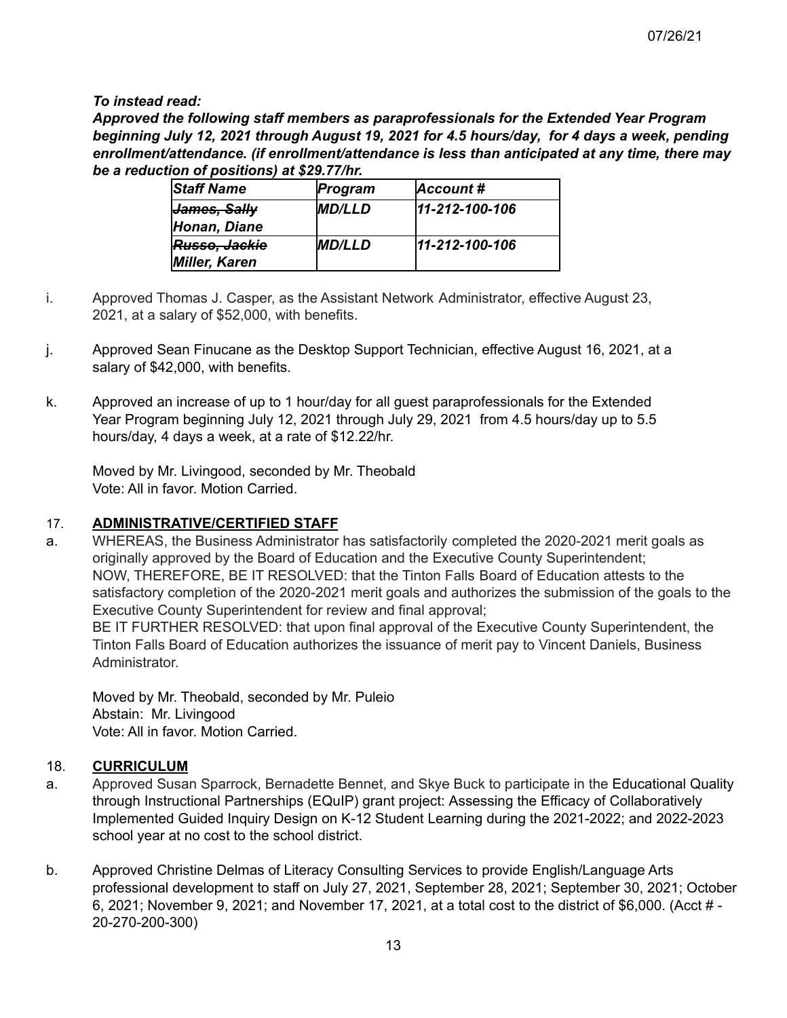*To instead read:*

*Approved the following staff members as paraprofessionals for the Extended Year Program beginning July 12, 2021 through August 19, 2021 for 4.5 hours/day, for 4 days a week, pending enrollment/attendance. (if enrollment/attendance is less than anticipated at any time, there may be a reduction of positions) at \$29.77/hr.*

| <b>Staff Name</b>       | Program       | Account#       |
|-------------------------|---------------|----------------|
| <del>James, Sally</del> | <b>MD/LLD</b> | 11-212-100-106 |
| Honan, Diane            |               |                |
| Russo, Jackie           | <b>MD/LLD</b> | 11-212-100-106 |
| <b>Miller, Karen</b>    |               |                |

- i. Approved Thomas J. Casper, as the Assistant Network Administrator, effective August 23, 2021, at a salary of \$52,000, with benefits.
- j. Approved Sean Finucane as the Desktop Support Technician, effective August 16, 2021, at a salary of \$42,000, with benefits.
- k. Approved an increase of up to 1 hour/day for all guest paraprofessionals for the Extended Year Program beginning July 12, 2021 through July 29, 2021 from 4.5 hours/day up to 5.5 hours/day, 4 days a week, at a rate of \$12.22/hr.

Moved by Mr. Livingood, seconded by Mr. Theobald Vote: All in favor. Motion Carried.

### 17. **ADMINISTRATIVE/CERTIFIED STAFF**

a. WHEREAS, the Business Administrator has satisfactorily completed the 2020-2021 merit goals as originally approved by the Board of Education and the Executive County Superintendent; NOW, THEREFORE, BE IT RESOLVED: that the Tinton Falls Board of Education attests to the satisfactory completion of the 2020-2021 merit goals and authorizes the submission of the goals to the Executive County Superintendent for review and final approval;

BE IT FURTHER RESOLVED: that upon final approval of the Executive County Superintendent, the Tinton Falls Board of Education authorizes the issuance of merit pay to Vincent Daniels, Business Administrator.

Moved by Mr. Theobald, seconded by Mr. Puleio Abstain: Mr. Livingood Vote: All in favor. Motion Carried.

### 18. **CURRICULUM**

- a. Approved Susan Sparrock, Bernadette Bennet, and Skye Buck to participate in the Educational Quality through Instructional Partnerships (EQuIP) grant project: Assessing the Efficacy of Collaboratively Implemented Guided Inquiry Design on K-12 Student Learning during the 2021-2022; and 2022-2023 school year at no cost to the school district.
- b. Approved Christine Delmas of Literacy Consulting Services to provide English/Language Arts professional development to staff on July 27, 2021, September 28, 2021; September 30, 2021; October 6, 2021; November 9, 2021; and November 17, 2021, at a total cost to the district of \$6,000. (Acct # - 20-270-200-300)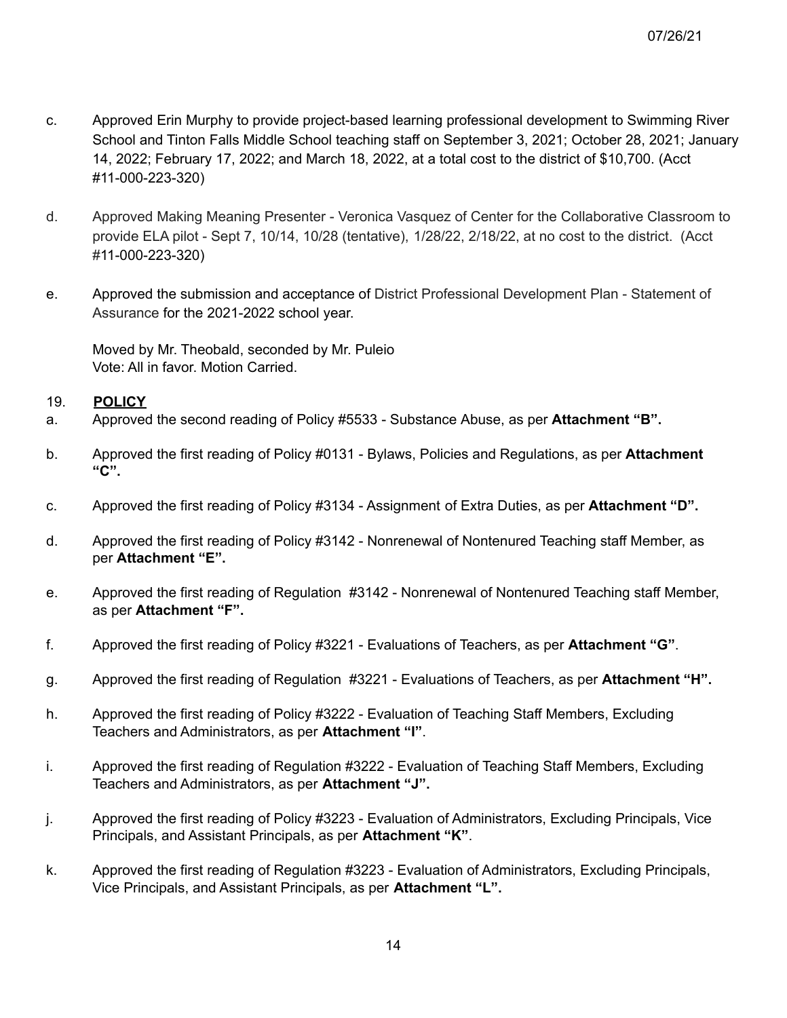- c. Approved Erin Murphy to provide project-based learning professional development to Swimming River School and Tinton Falls Middle School teaching staff on September 3, 2021; October 28, 2021; January 14, 2022; February 17, 2022; and March 18, 2022, at a total cost to the district of \$10,700. (Acct #11-000-223-320)
- d. Approved Making Meaning Presenter Veronica Vasquez of Center for the Collaborative Classroom to provide ELA pilot - Sept 7, 10/14, 10/28 (tentative), 1/28/22, 2/18/22, at no cost to the district. (Acct #11-000-223-320)
- e. Approved the submission and acceptance of District Professional Development Plan Statement of Assurance for the 2021-2022 school year.

Moved by Mr. Theobald, seconded by Mr. Puleio Vote: All in favor. Motion Carried.

#### 19. **POLICY**

- a. Approved the second reading of Policy #5533 Substance Abuse, as per **Attachment "B".**
- b. Approved the first reading of Policy #0131 Bylaws, Policies and Regulations, as per **Attachment "C".**
- c. Approved the first reading of Policy #3134 Assignment of Extra Duties, as per **Attachment "D".**
- d. Approved the first reading of Policy #3142 Nonrenewal of Nontenured Teaching staff Member, as per **Attachment "E".**
- e. Approved the first reading of Regulation #3142 Nonrenewal of Nontenured Teaching staff Member, as per **Attachment "F".**
- f. Approved the first reading of Policy #3221 Evaluations of Teachers, as per **Attachment "G"**.
- g. Approved the first reading of Regulation #3221 Evaluations of Teachers, as per **Attachment "H".**
- h. Approved the first reading of Policy #3222 Evaluation of Teaching Staff Members, Excluding Teachers and Administrators, as per **Attachment "I"**.
- i. Approved the first reading of Regulation #3222 Evaluation of Teaching Staff Members, Excluding Teachers and Administrators, as per **Attachment "J".**
- j. Approved the first reading of Policy #3223 Evaluation of Administrators, Excluding Principals, Vice Principals, and Assistant Principals, as per **Attachment "K"**.
- k. Approved the first reading of Regulation #3223 Evaluation of Administrators, Excluding Principals, Vice Principals, and Assistant Principals, as per **Attachment "L".**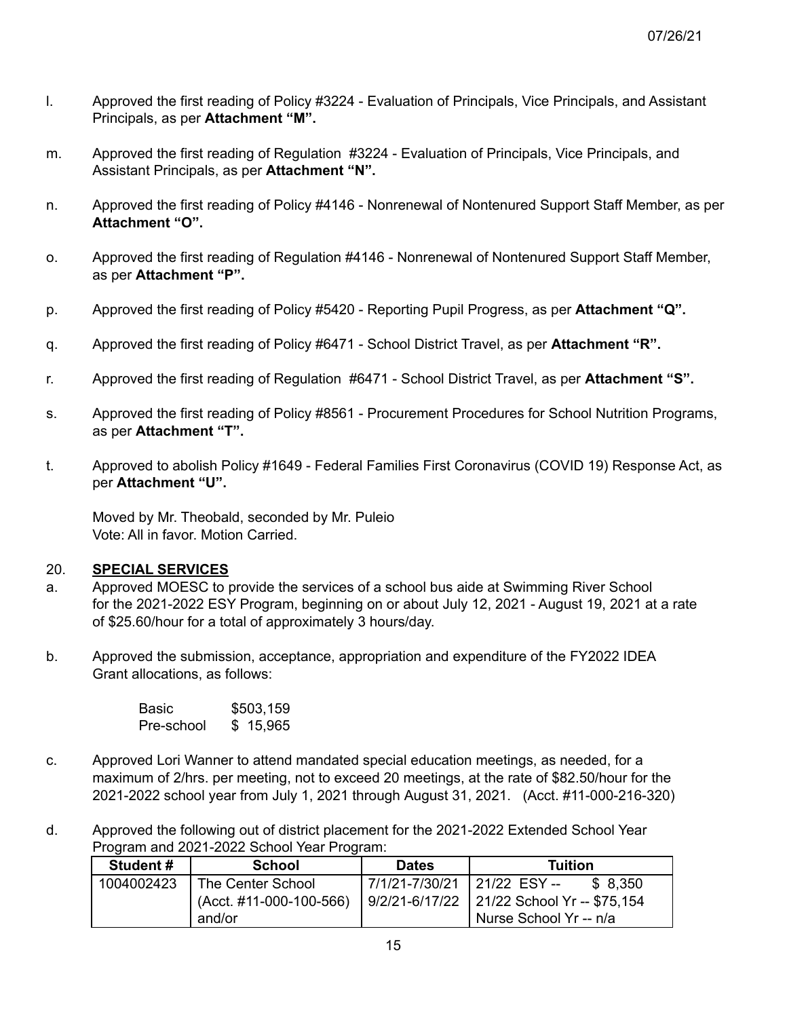- l. Approved the first reading of Policy #3224 Evaluation of Principals, Vice Principals, and Assistant Principals, as per **Attachment "M".**
- m. Approved the first reading of Regulation #3224 Evaluation of Principals, Vice Principals, and Assistant Principals, as per **Attachment "N".**
- n. Approved the first reading of Policy #4146 Nonrenewal of Nontenured Support Staff Member, as per **Attachment "O".**
- o. Approved the first reading of Regulation #4146 Nonrenewal of Nontenured Support Staff Member, as per **Attachment "P".**
- p. Approved the first reading of Policy #5420 Reporting Pupil Progress, as per **Attachment "Q".**
- q. Approved the first reading of Policy #6471 School District Travel, as per **Attachment "R".**
- r. Approved the first reading of Regulation #6471 School District Travel, as per **Attachment "S".**
- s. Approved the first reading of Policy #8561 Procurement Procedures for School Nutrition Programs, as per **Attachment "T".**
- t. Approved to abolish Policy #1649 Federal Families First Coronavirus (COVID 19) Response Act, as per **Attachment "U".**

Moved by Mr. Theobald, seconded by Mr. Puleio Vote: All in favor. Motion Carried.

#### 20. **SPECIAL SERVICES**

- a. Approved MOESC to provide the services of a school bus aide at Swimming River School for the 2021-2022 ESY Program, beginning on or about July 12, 2021 - August 19, 2021 at a rate of \$25.60/hour for a total of approximately 3 hours/day.
- b. Approved the submission, acceptance, appropriation and expenditure of the FY2022 IDEA Grant allocations, as follows:

| Basic      | \$503,159 |  |  |
|------------|-----------|--|--|
| Pre-school | \$15,965  |  |  |

- c. Approved Lori Wanner to attend mandated special education meetings, as needed, for a maximum of 2/hrs. per meeting, not to exceed 20 meetings, at the rate of \$82.50/hour for the 2021-2022 school year from July 1, 2021 through August 31, 2021. (Acct. #11-000-216-320)
- d. Approved the following out of district placement for the 2021-2022 Extended School Year Program and 2021-2022 School Year Program:

| Student #  | <b>School</b>             | <b>Dates</b>                  | Tuition                                    |  |  |
|------------|---------------------------|-------------------------------|--------------------------------------------|--|--|
| 1004002423 | The Center School         | 7/1/21-7/30/21   21/22 ESY -- | \$8.350                                    |  |  |
|            | $(Acct. #11-000-100-566)$ |                               | 9/2/21-6/17/22 21/22 School Yr -- \$75,154 |  |  |
|            | and/or                    |                               | Nurse School Yr -- n/a                     |  |  |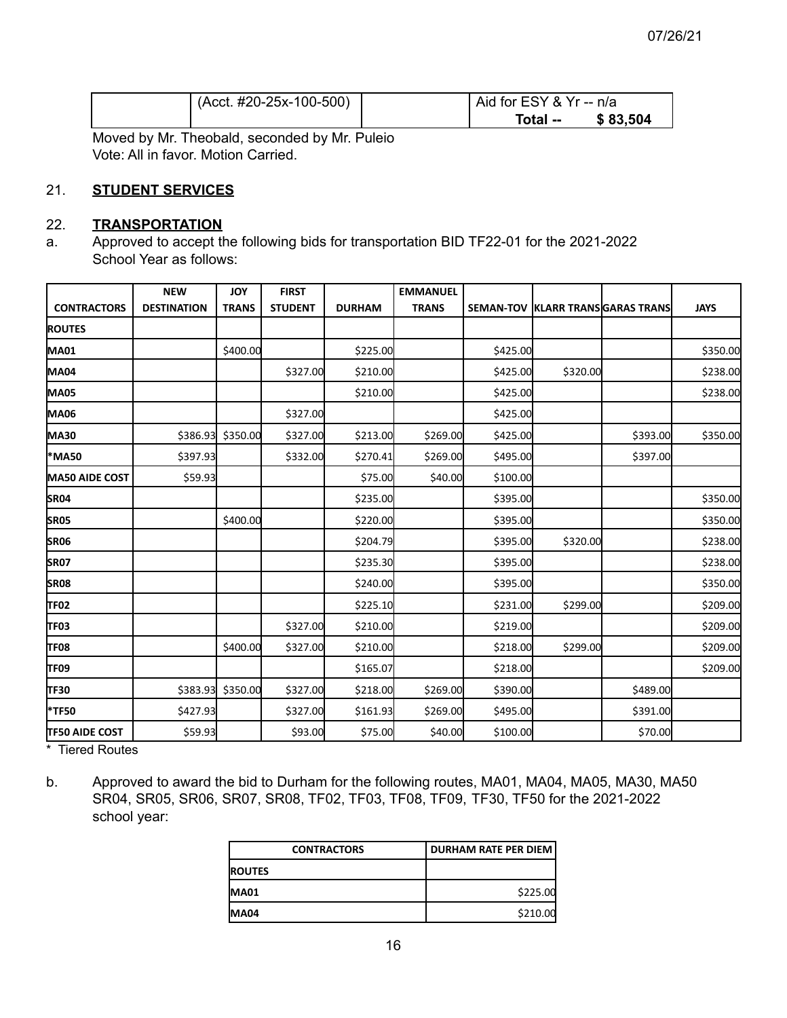| $(Acct. #20-25x-100-500)$ | Aid for ESY & Yr -- n/a |          |  |
|---------------------------|-------------------------|----------|--|
|                           | Total --                | \$83,504 |  |
|                           |                         |          |  |

Moved by Mr. Theobald, seconded by Mr. Puleio Vote: All in favor. Motion Carried.

#### 21. **STUDENT SERVICES**

#### 22. **TRANSPORTATION**

a. Approved to accept the following bids for transportation BID TF22-01 for the 2021-2022 School Year as follows:

|                       | <b>NEW</b>         | <b>JOY</b>        | <b>FIRST</b>   |               | <b>EMMANUEL</b> |          |          |                                  |             |
|-----------------------|--------------------|-------------------|----------------|---------------|-----------------|----------|----------|----------------------------------|-------------|
| <b>CONTRACTORS</b>    | <b>DESTINATION</b> | <b>TRANS</b>      | <b>STUDENT</b> | <b>DURHAM</b> | <b>TRANS</b>    |          |          | SEMAN-TOV KLARR TRANSGARAS TRANS | <b>JAYS</b> |
| <b>ROUTES</b>         |                    |                   |                |               |                 |          |          |                                  |             |
| <b>MA01</b>           |                    | \$400.00          |                | \$225.00      |                 | \$425.00 |          |                                  | \$350.00    |
| <b>MA04</b>           |                    |                   | \$327.00       | \$210.00      |                 | \$425.00 | \$320.00 |                                  | \$238.00    |
| <b>MA05</b>           |                    |                   |                | \$210.00      |                 | \$425.00 |          |                                  | \$238.00    |
| <b>MA06</b>           |                    |                   | \$327.00       |               |                 | \$425.00 |          |                                  |             |
| <b>MA30</b>           |                    | \$386.93 \$350.00 | \$327.00       | \$213.00      | \$269.00        | \$425.00 |          | \$393.00                         | \$350.00    |
| *MA50                 | \$397.93           |                   | \$332.00       | \$270.41      | \$269.00        | \$495.00 |          | \$397.00                         |             |
| <b>MA50 AIDE COST</b> | \$59.93            |                   |                | \$75.00       | \$40.00         | \$100.00 |          |                                  |             |
| SR04                  |                    |                   |                | \$235.00      |                 | \$395.00 |          |                                  | \$350.00    |
| <b>SR05</b>           |                    | \$400.00          |                | \$220.00      |                 | \$395.00 |          |                                  | \$350.00    |
| SR06                  |                    |                   |                | \$204.79      |                 | \$395.00 | \$320.00 |                                  | \$238.00    |
| <b>SR07</b>           |                    |                   |                | \$235.30      |                 | \$395.00 |          |                                  | \$238.00    |
| <b>SR08</b>           |                    |                   |                | \$240.00      |                 | \$395.00 |          |                                  | \$350.00    |
| TF02                  |                    |                   |                | \$225.10      |                 | \$231.00 | \$299.00 |                                  | \$209.00    |
| TF03                  |                    |                   | \$327.00       | \$210.00      |                 | \$219.00 |          |                                  | \$209.00    |
| <b>TF08</b>           |                    | \$400.00          | \$327.00       | \$210.00      |                 | \$218.00 | \$299.00 |                                  | \$209.00    |
| TF09                  |                    |                   |                | \$165.07      |                 | \$218.00 |          |                                  | \$209.00    |
| TF30                  |                    | \$383.93 \$350.00 | \$327.00       | \$218.00      | \$269.00        | \$390.00 |          | \$489.00                         |             |
| <b>*TF50</b>          | \$427.93           |                   | \$327.00       | \$161.93      | \$269.00        | \$495.00 |          | \$391.00                         |             |
| <b>TF50 AIDE COST</b> | \$59.93            |                   | \$93.00        | \$75.00       | \$40.00         | \$100.00 |          | \$70.00                          |             |

\* Tiered Routes

b. Approved to award the bid to Durham for the following routes, MA01, MA04, MA05, MA30, MA50 SR04, SR05, SR06, SR07, SR08, TF02, TF03, TF08, TF09, TF30, TF50 for the 2021-2022 school year:

| <b>CONTRACTORS</b> | DURHAM RATE PER DIEM |  |  |
|--------------------|----------------------|--|--|
| <b>IROUTES</b>     |                      |  |  |
| <b>MA01</b>        | \$225.00             |  |  |
| IMA04              | \$210.00             |  |  |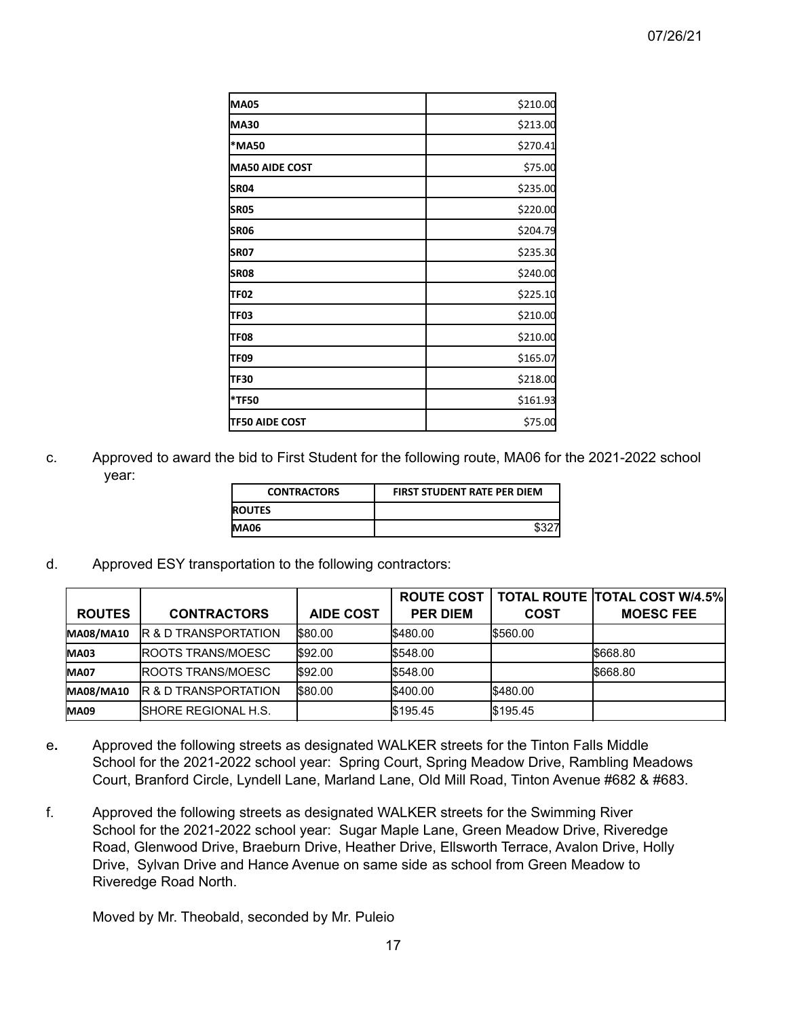| <b>MA05</b>           | \$210.00 |
|-----------------------|----------|
| <b>MA30</b>           | \$213.00 |
| *MA50                 | \$270.41 |
| <b>MA50 AIDE COST</b> | \$75.00  |
| SR <sub>04</sub>      | \$235.00 |
| <b>SRO5</b>           | \$220.00 |
| SR06                  | \$204.79 |
| <b>SRO7</b>           | \$235.30 |
| <b>SR08</b>           | \$240.00 |
| TF02                  | \$225.10 |
| TF03                  | \$210.00 |
| TF08                  | \$210.00 |
| TF09                  | \$165.07 |
| TF30                  | \$218.00 |
| *TF50                 | \$161.93 |
| <b>TF50 AIDE COST</b> | \$75.00  |

c. Approved to award the bid to First Student for the following route, MA06 for the 2021-2022 school year:

| <b>CONTRACTORS</b> | <b>FIRST STUDENT RATE PER DIEM</b> |
|--------------------|------------------------------------|
| <b>ROUTES</b>      |                                    |
| <b>MA06</b>        |                                    |

d. Approved ESY transportation to the following contractors:

|                  |                                  |                  | <b>ROUTE COST</b> |                 | <b>TOTAL ROUTE TOTAL COST W/4.5%</b> |
|------------------|----------------------------------|------------------|-------------------|-----------------|--------------------------------------|
| <b>ROUTES</b>    | <b>CONTRACTORS</b>               | <b>AIDE COST</b> | <b>PER DIEM</b>   | COST            | <b>MOESC FEE</b>                     |
| <b>MA08/MA10</b> | IR & D TRANSPORTATION            | \$80.00          | <b>S480.00</b>    | <b>IS560.00</b> |                                      |
| <b>MA03</b>      | <b>IROOTS TRANS/MOESC</b>        | \$92.00          | <b>IS548.00</b>   |                 | <b>S668.80</b>                       |
| <b>MA07</b>      | <b>IROOTS TRANS/MOESC</b>        | \$92.00          | <b>S548.00</b>    |                 | <b>S668.80</b>                       |
| <b>MA08/MA10</b> | <b>IR &amp; D TRANSPORTATION</b> | \$80.00          | <b>IS400.00</b>   | I\$480.00       |                                      |
| <b>MA09</b>      | <b>ISHORE REGIONAL H.S.</b>      |                  | <b>S195.45</b>    | <b>S195.45</b>  |                                      |

- e**.** Approved the following streets as designated WALKER streets for the Tinton Falls Middle School for the 2021-2022 school year: Spring Court, Spring Meadow Drive, Rambling Meadows Court, Branford Circle, Lyndell Lane, Marland Lane, Old Mill Road, Tinton Avenue #682 & #683.
- f. Approved the following streets as designated WALKER streets for the Swimming River School for the 2021-2022 school year: Sugar Maple Lane, Green Meadow Drive, Riveredge Road, Glenwood Drive, Braeburn Drive, Heather Drive, Ellsworth Terrace, Avalon Drive, Holly Drive, Sylvan Drive and Hance Avenue on same side as school from Green Meadow to Riveredge Road North.

Moved by Mr. Theobald, seconded by Mr. Puleio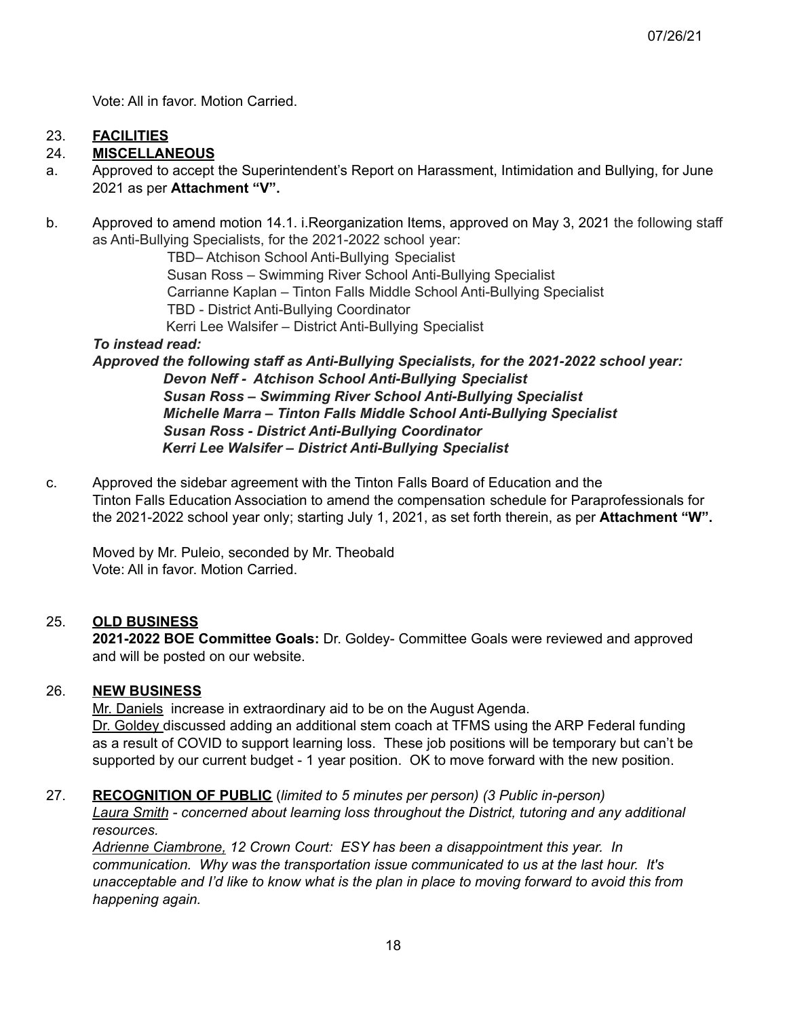Vote: All in favor. Motion Carried.

## 23. **FACILITIES**

### 24. **MISCELLANEOUS**

- a. Approved to accept the Superintendent's Report on Harassment, Intimidation and Bullying, for June 2021 as per **Attachment "V".**
- b. Approved to amend motion 14.1. i.Reorganization Items, approved on May 3, 2021 the following staff as Anti-Bullying Specialists, for the 2021-2022 school year:

TBD– Atchison School Anti-Bullying Specialist Susan Ross – Swimming River School Anti-Bullying Specialist Carrianne Kaplan – Tinton Falls Middle School Anti-Bullying Specialist TBD - District Anti-Bullying Coordinator Kerri Lee Walsifer – District Anti-Bullying Specialist

### *To instead read:*

*Approved the following staff as Anti-Bullying Specialists, for the 2021-2022 school year: Devon Neff - Atchison School Anti-Bullying Specialist Susan Ross – Swimming River School Anti-Bullying Specialist Michelle Marra – Tinton Falls Middle School Anti-Bullying Specialist Susan Ross - District Anti-Bullying Coordinator Kerri Lee Walsifer – District Anti-Bullying Specialist*

c. Approved the sidebar agreement with the Tinton Falls Board of Education and the Tinton Falls Education Association to amend the compensation schedule for Paraprofessionals for the 2021-2022 school year only; starting July 1, 2021, as set forth therein, as per **Attachment "W".**

Moved by Mr. Puleio, seconded by Mr. Theobald Vote: All in favor. Motion Carried.

### 25. **OLD BUSINESS**

**2021-2022 BOE Committee Goals:** Dr. Goldey- Committee Goals were reviewed and approved and will be posted on our website.

#### 26. **NEW BUSINESS**

Mr. Daniels increase in extraordinary aid to be on the August Agenda.

Dr. Goldey discussed adding an additional stem coach at TFMS using the ARP Federal funding as a result of COVID to support learning loss. These job positions will be temporary but can't be supported by our current budget - 1 year position. OK to move forward with the new position.

### 27. **RECOGNITION OF PUBLIC** (*limited to 5 minutes per person) (3 Public in-person)*

*Laura Smith - concerned about learning loss throughout the District, tutoring and any additional resources.*

*Adrienne Ciambrone, 12 Crown Court: ESY has been a disappointment this year. In communication. Why was the transportation issue communicated to us at the last hour. It's* unacceptable and I'd like to know what is the plan in place to moving forward to avoid this from *happening again.*